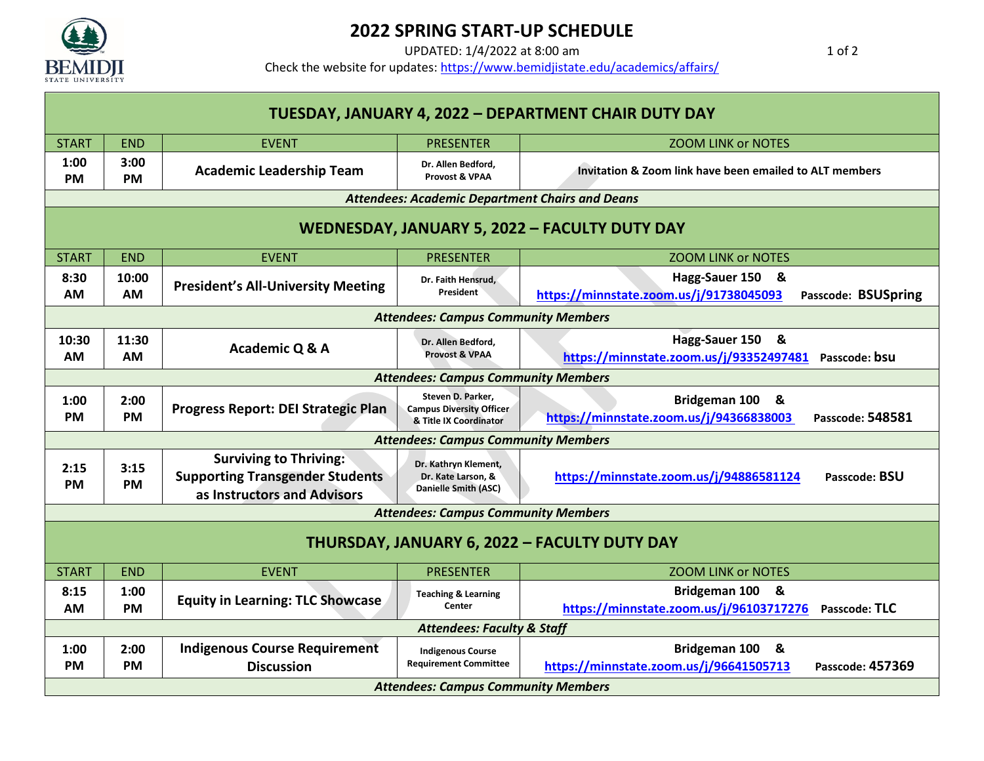

## **2022 SPRING START-UP SCHEDULE**

UPDATED: 1/4/2022 at 8:00 am 1 of 2

Check the website for updates[: https://www.bemidjistate.edu/academics/affairs/](https://www.bemidjistate.edu/academics/affairs/)

| TUESDAY, JANUARY 4, 2022 - DEPARTMENT CHAIR DUTY DAY |                                            |                                                                                                        |                                                                                |                                                                                              |  |  |  |  |
|------------------------------------------------------|--------------------------------------------|--------------------------------------------------------------------------------------------------------|--------------------------------------------------------------------------------|----------------------------------------------------------------------------------------------|--|--|--|--|
| <b>START</b>                                         | <b>END</b>                                 | <b>EVENT</b>                                                                                           | <b>PRESENTER</b>                                                               | <b>ZOOM LINK or NOTES</b>                                                                    |  |  |  |  |
| 1:00<br><b>PM</b>                                    | 3:00<br><b>PM</b>                          | <b>Academic Leadership Team</b>                                                                        | Dr. Allen Bedford,<br>Provost & VPAA                                           | <b>Invitation &amp; Zoom link have been emailed to ALT members</b>                           |  |  |  |  |
|                                                      |                                            |                                                                                                        | <b>Attendees: Academic Department Chairs and Deans</b>                         |                                                                                              |  |  |  |  |
| WEDNESDAY, JANUARY 5, 2022 - FACULTY DUTY DAY        |                                            |                                                                                                        |                                                                                |                                                                                              |  |  |  |  |
| <b>START</b>                                         | <b>END</b>                                 | <b>EVENT</b>                                                                                           | <b>PRESENTER</b>                                                               | <b>ZOOM LINK or NOTES</b>                                                                    |  |  |  |  |
| 8:30<br>AM                                           | 10:00<br>AM                                | <b>President's All-University Meeting</b>                                                              | Dr. Faith Hensrud,<br>President                                                | Hagg-Sauer 150 &<br>https://minnstate.zoom.us/j/91738045093<br>Passcode: BSUSpring           |  |  |  |  |
| <b>Attendees: Campus Community Members</b>           |                                            |                                                                                                        |                                                                                |                                                                                              |  |  |  |  |
| 10:30<br>AM                                          | 11:30<br>AM                                | Academic Q & A                                                                                         | Dr. Allen Bedford,<br><b>Provost &amp; VPAA</b>                                | Hagg-Sauer 150 &<br>https://minnstate.zoom.us/j/93352497481<br>Passcode: bsu                 |  |  |  |  |
| <b>Attendees: Campus Community Members</b>           |                                            |                                                                                                        |                                                                                |                                                                                              |  |  |  |  |
| 1:00<br><b>PM</b>                                    | 2:00<br><b>PM</b>                          | Progress Report: DEI Strategic Plan                                                                    | Steven D. Parker,<br><b>Campus Diversity Officer</b><br>& Title IX Coordinator | Bridgeman 100<br>8.<br>https://minnstate.zoom.us/j/94366838003<br>Passcode: 548581           |  |  |  |  |
| <b>Attendees: Campus Community Members</b>           |                                            |                                                                                                        |                                                                                |                                                                                              |  |  |  |  |
| 2:15<br><b>PM</b>                                    | 3:15<br><b>PM</b>                          | <b>Surviving to Thriving:</b><br><b>Supporting Transgender Students</b><br>as Instructors and Advisors | Dr. Kathryn Klement,<br>Dr. Kate Larson, &<br>Danielle Smith (ASC)             | https://minnstate.zoom.us/j/94886581124<br>Passcode: BSU                                     |  |  |  |  |
| <b>Attendees: Campus Community Members</b>           |                                            |                                                                                                        |                                                                                |                                                                                              |  |  |  |  |
| <b>THURSDAY, JANUARY 6, 2022 - FACULTY DUTY DAY</b>  |                                            |                                                                                                        |                                                                                |                                                                                              |  |  |  |  |
| <b>START</b>                                         | <b>END</b>                                 | <b>EVENT</b>                                                                                           | <b>PRESENTER</b>                                                               | <b>ZOOM LINK or NOTES</b>                                                                    |  |  |  |  |
| 8:15<br>AM                                           | 1:00<br><b>PM</b>                          | <b>Equity in Learning: TLC Showcase</b>                                                                | <b>Teaching &amp; Learning</b><br>Center                                       | Bridgeman 100 &<br>https://minnstate.zoom.us/j/96103717276<br>Passcode: TLC                  |  |  |  |  |
| <b>Attendees: Faculty &amp; Staff</b>                |                                            |                                                                                                        |                                                                                |                                                                                              |  |  |  |  |
| 1:00<br><b>PM</b>                                    | 2:00<br><b>PM</b>                          | <b>Indigenous Course Requirement</b><br><b>Discussion</b>                                              | <b>Indigenous Course</b><br><b>Requirement Committee</b>                       | Bridgeman 100<br><u>&amp;</u><br>https://minnstate.zoom.us/j/96641505713<br>Passcode: 457369 |  |  |  |  |
|                                                      | <b>Attendees: Campus Community Members</b> |                                                                                                        |                                                                                |                                                                                              |  |  |  |  |